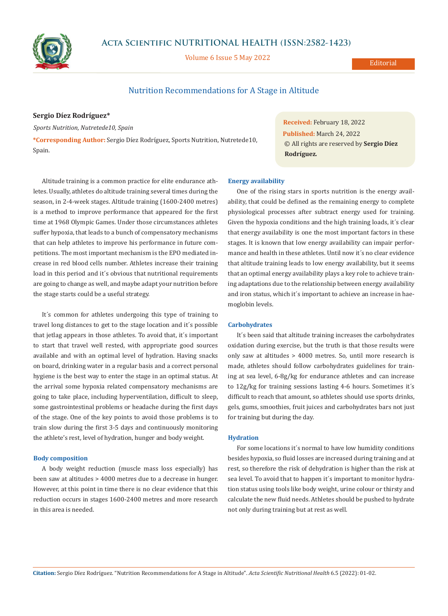

## **Acta Scientific NUTRITIONAL HEALTH (ISSN:2582-1423)**

Volume 6 Issue 5 May 2022

**Editorial** 

# Nutrition Recommendations for A Stage in Altitude

### **Sergio Díez Rodríguez\***

*Sports Nutrition, Nutretede10, Spain*

**\*Corresponding Author:** Sergio Díez Rodríguez, Sports Nutrition, Nutretede10, Spain.

Altitude training is a common practice for elite endurance athletes. Usually, athletes do altitude training several times during the season, in 2-4-week stages. Altitude training (1600-2400 metres) is a method to improve performance that appeared for the first time at 1968 Olympic Games. Under those circumstances athletes suffer hypoxia, that leads to a bunch of compensatory mechanisms that can help athletes to improve his performance in future competitions. The most important mechanism is the EPO mediated increase in red blood cells number. Athletes increase their training load in this period and it´s obvious that nutritional requirements are going to change as well, and maybe adapt your nutrition before the stage starts could be a useful strategy.

It´s common for athletes undergoing this type of training to travel long distances to get to the stage location and it´s possible that jetlag appears in those athletes. To avoid that, it´s important to start that travel well rested, with appropriate good sources available and with an optimal level of hydration. Having snacks on board, drinking water in a regular basis and a correct personal hygiene is the best way to enter the stage in an optimal status. At the arrival some hypoxia related compensatory mechanisms are going to take place, including hyperventilation, difficult to sleep, some gastrointestinal problems or headache during the first days of the stage. One of the key points to avoid those problems is to train slow during the first 3-5 days and continuously monitoring the athlete's rest, level of hydration, hunger and body weight.

### **Body composition**

A body weight reduction (muscle mass loss especially) has been saw at altitudes > 4000 metres due to a decrease in hunger. However, at this point in time there is no clear evidence that this reduction occurs in stages 1600-2400 metres and more research in this area is needed.

# **Energy availability**

One of the rising stars in sports nutrition is the energy availability, that could be defined as the remaining energy to complete physiological processes after subtract energy used for training. Given the hypoxia conditions and the high training loads, it´s clear that energy availability is one the most important factors in these stages. It is known that low energy availability can impair performance and health in these athletes. Until now it´s no clear evidence that altitude training leads to low energy availability, but it seems that an optimal energy availability plays a key role to achieve training adaptations due to the relationship between energy availability and iron status, which it´s important to achieve an increase in haemoglobin levels.

**Received:** February 18, 2022 **Published:** March 24, 2022

**Rodríguez***.*

© All rights are reserved by **Sergio Díez** 

#### **Carbohydrates**

It´s been said that altitude training increases the carbohydrates oxidation during exercise, but the truth is that those results were only saw at altitudes > 4000 metres. So, until more research is made, athletes should follow carbohydrates guidelines for training at sea level, 6-8g/kg for endurance athletes and can increase to 12g/kg for training sessions lasting 4-6 hours. Sometimes it´s difficult to reach that amount, so athletes should use sports drinks, gels, gums, smoothies, fruit juices and carbohydrates bars not just for training but during the day.

#### **Hydration**

For some locations it's normal to have low humidity conditions besides hypoxia, so fluid losses are increased during training and at rest, so therefore the risk of dehydration is higher than the risk at sea level. To avoid that to happen it's important to monitor hydration status using tools like body weight, urine colour or thirsty and calculate the new fluid needs. Athletes should be pushed to hydrate not only during training but at rest as well.